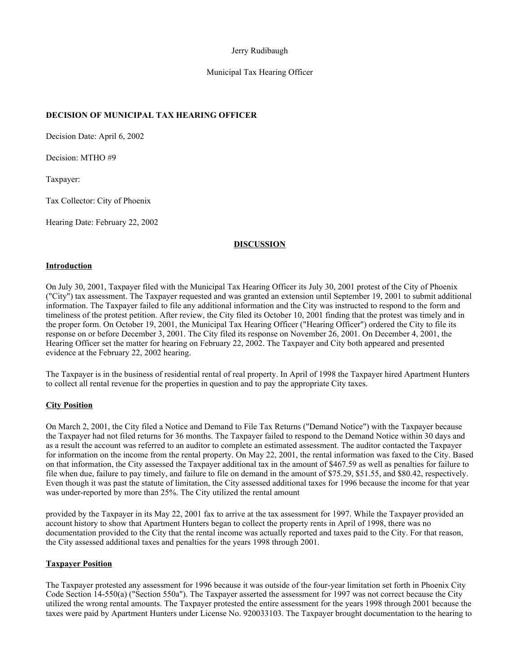### Jerry Rudibaugh

### Municipal Tax Hearing Officer

# **DECISION OF MUNICIPAL TAX HEARING OFFICER**

Decision Date: April 6, 2002

Decision: MTHO #9

Taxpayer:

Tax Collector: City of Phoenix

Hearing Date: February 22, 2002

#### **DISCUSSION**

#### **Introduction**

On July 30, 2001, Taxpayer filed with the Municipal Tax Hearing Officer its July 30, 2001 protest of the City of Phoenix ("City") tax assessment. The Taxpayer requested and was granted an extension until September 19, 2001 to submit additional information. The Taxpayer failed to file any additional information and the City was instructed to respond to the form and timeliness of the protest petition. After review, the City filed its October 10, 2001 finding that the protest was timely and in the proper form. On October 19, 2001, the Municipal Tax Hearing Officer ("Hearing Officer") ordered the City to file its response on or before December 3, 2001. The City filed its response on November 26, 2001. On December 4, 2001, the Hearing Officer set the matter for hearing on February 22, 2002. The Taxpayer and City both appeared and presented evidence at the February 22, 2002 hearing.

The Taxpayer is in the business of residential rental of real property. In April of 1998 the Taxpayer hired Apartment Hunters to collect all rental revenue for the properties in question and to pay the appropriate City taxes.

#### **City Position**

On March 2, 2001, the City filed a Notice and Demand to File Tax Returns ("Demand Notice") with the Taxpayer because the Taxpayer had not filed returns for 36 months. The Taxpayer failed to respond to the Demand Notice within 30 days and as a result the account was referred to an auditor to complete an estimated assessment. The auditor contacted the Taxpayer for information on the income from the rental property. On May 22, 2001, the rental information was faxed to the City. Based on that information, the City assessed the Taxpayer additional tax in the amount of \$467.59 as well as penalties for failure to file when due, failure to pay timely, and failure to file on demand in the amount of \$75.29, \$51.55, and \$80.42, respectively. Even though it was past the statute of limitation, the City assessed additional taxes for 1996 because the income for that year was under-reported by more than 25%. The City utilized the rental amount

provided by the Taxpayer in its May 22, 2001 fax to arrive at the tax assessment for 1997. While the Taxpayer provided an account history to show that Apartment Hunters began to collect the property rents in April of 1998, there was no documentation provided to the City that the rental income was actually reported and taxes paid to the City. For that reason, the City assessed additional taxes and penalties for the years 1998 through 2001.

### **Taxpayer Position**

The Taxpayer protested any assessment for 1996 because it was outside of the four-year limitation set forth in Phoenix City Code Section 14-550(a) ("Section 550a"). The Taxpayer asserted the assessment for 1997 was not correct because the City utilized the wrong rental amounts. The Taxpayer protested the entire assessment for the years 1998 through 2001 because the taxes were paid by Apartment Hunters under License No. 920033103. The Taxpayer brought documentation to the hearing to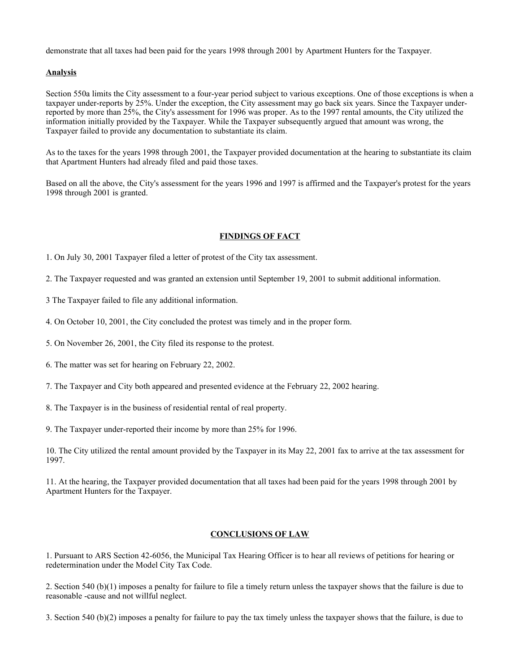demonstrate that all taxes had been paid for the years 1998 through 2001 by Apartment Hunters for the Taxpayer.

### **Analysis**

Section 550a limits the City assessment to a four-year period subject to various exceptions. One of those exceptions is when a taxpayer under-reports by 25%. Under the exception, the City assessment may go back six years. Since the Taxpayer underreported by more than 25%, the City's assessment for 1996 was proper. As to the 1997 rental amounts, the City utilized the information initially provided by the Taxpayer. While the Taxpayer subsequently argued that amount was wrong, the Taxpayer failed to provide any documentation to substantiate its claim.

As to the taxes for the years 1998 through 2001, the Taxpayer provided documentation at the hearing to substantiate its claim that Apartment Hunters had already filed and paid those taxes.

Based on all the above, the City's assessment for the years 1996 and 1997 is affirmed and the Taxpayer's protest for the years 1998 through 2001 is granted.

# **FINDINGS OF FACT**

1. On July 30, 2001 Taxpayer filed a letter of protest of the City tax assessment.

2. The Taxpayer requested and was granted an extension until September 19, 2001 to submit additional information.

3 The Taxpayer failed to file any additional information.

4. On October 10, 2001, the City concluded the protest was timely and in the proper form.

5. On November 26, 2001, the City filed its response to the protest.

6. The matter was set for hearing on February 22, 2002.

7. The Taxpayer and City both appeared and presented evidence at the February 22, 2002 hearing.

8. The Taxpayer is in the business of residential rental of real property.

9. The Taxpayer under-reported their income by more than 25% for 1996.

10. The City utilized the rental amount provided by the Taxpayer in its May 22, 2001 fax to arrive at the tax assessment for 1997.

11. At the hearing, the Taxpayer provided documentation that all taxes had been paid for the years 1998 through 2001 by Apartment Hunters for the Taxpayer.

# **CONCLUSIONS OF LAW**

1. Pursuant to ARS Section 42-6056, the Municipal Tax Hearing Officer is to hear all reviews of petitions for hearing or redetermination under the Model City Tax Code.

2. Section 540 (b)(1) imposes a penalty for failure to file a timely return unless the taxpayer shows that the failure is due to reasonable -cause and not willful neglect.

3. Section 540 (b)(2) imposes a penalty for failure to pay the tax timely unless the taxpayer shows that the failure, is due to